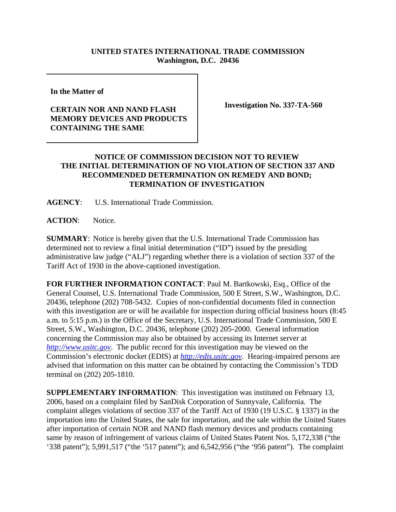## **UNITED STATES INTERNATIONAL TRADE COMMISSION Washington, D.C. 20436**

**In the Matter of** 

## **CERTAIN NOR AND NAND FLASH MEMORY DEVICES AND PRODUCTS CONTAINING THE SAME**

**Investigation No. 337-TA-560**

## **NOTICE OF COMMISSION DECISION NOT TO REVIEW THE INITIAL DETERMINATION OF NO VIOLATION OF SECTION 337 AND RECOMMENDED DETERMINATION ON REMEDY AND BOND; TERMINATION OF INVESTIGATION**

**AGENCY**: U.S. International Trade Commission.

**ACTION**: Notice.

**SUMMARY**: Notice is hereby given that the U.S. International Trade Commission has determined not to review a final initial determination ("ID") issued by the presiding administrative law judge ("ALJ") regarding whether there is a violation of section 337 of the Tariff Act of 1930 in the above-captioned investigation.

**FOR FURTHER INFORMATION CONTACT**: Paul M. Bartkowski, Esq., Office of the General Counsel, U.S. International Trade Commission, 500 E Street, S.W., Washington, D.C. 20436, telephone (202) 708-5432. Copies of non-confidential documents filed in connection with this investigation are or will be available for inspection during official business hours (8:45 a.m. to 5:15 p.m.) in the Office of the Secretary, U.S. International Trade Commission, 500 E Street, S.W., Washington, D.C. 20436, telephone (202) 205-2000. General information concerning the Commission may also be obtained by accessing its Internet server at *http://www.usitc.gov*. The public record for this investigation may be viewed on the Commission's electronic docket (EDIS) at *http://edis.usitc.gov*. Hearing-impaired persons are advised that information on this matter can be obtained by contacting the Commission's TDD terminal on (202) 205-1810.

**SUPPLEMENTARY INFORMATION**: This investigation was instituted on February 13, 2006, based on a complaint filed by SanDisk Corporation of Sunnyvale, California. The complaint alleges violations of section 337 of the Tariff Act of 1930 (19 U.S.C. § 1337) in the importation into the United States, the sale for importation, and the sale within the United States after importation of certain NOR and NAND flash memory devices and products containing same by reason of infringement of various claims of United States Patent Nos. 5,172,338 ("the '338 patent"); 5,991,517 ("the '517 patent"); and 6,542,956 ("the '956 patent"). The complaint